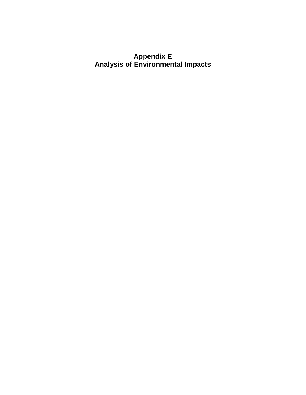## **Appendix E Analysis of Environmental Impacts**